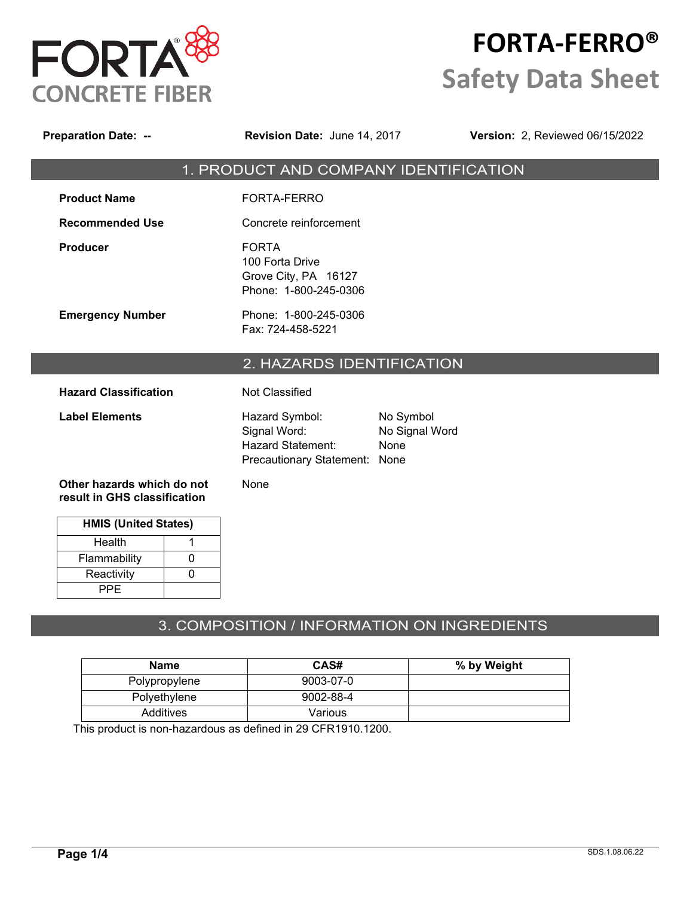

# **FORTA-FERRO® Safety Data Sheet**

**Preparation Date: -- Revision Date:** June 14, 2017 **Version:** 2, Reviewed 06/15/2022

### 1. PRODUCT AND COMPANY IDENTIFICATION

**Product Name** FORTA-FERRO

**Recommended Use Concrete reinforcement** 

Producer **FORTA** 100 Forta Drive Grove City, PA 16127 Phone: 1-800-245-0306

**Emergency Number** Phone: 1-800-245-0306 Fax: 724-458-5221

#### 2. HAZARDS IDENTIFICATION

**Hazard Classification** Not Classified

None

Label Elements **Hazard Symbol:** No Symbol Signal Word: No Signal Word Hazard Statement: None Precautionary Statement: None

**Other hazards which do not result in GHS classification**

| <b>HMIS (United States)</b> |   |  |
|-----------------------------|---|--|
| Health                      |   |  |
| Flammability                | O |  |
| Reactivity                  |   |  |
| PPE.                        |   |  |

## 3. COMPOSITION / INFORMATION ON INGREDIENTS

| Name          | CAS#      | % by Weight |
|---------------|-----------|-------------|
| Polypropylene | 9003-07-0 |             |
| Polyethylene  | 9002-88-4 |             |
| Additives     | Various   |             |

This product is non-hazardous as defined in 29 CFR1910.1200.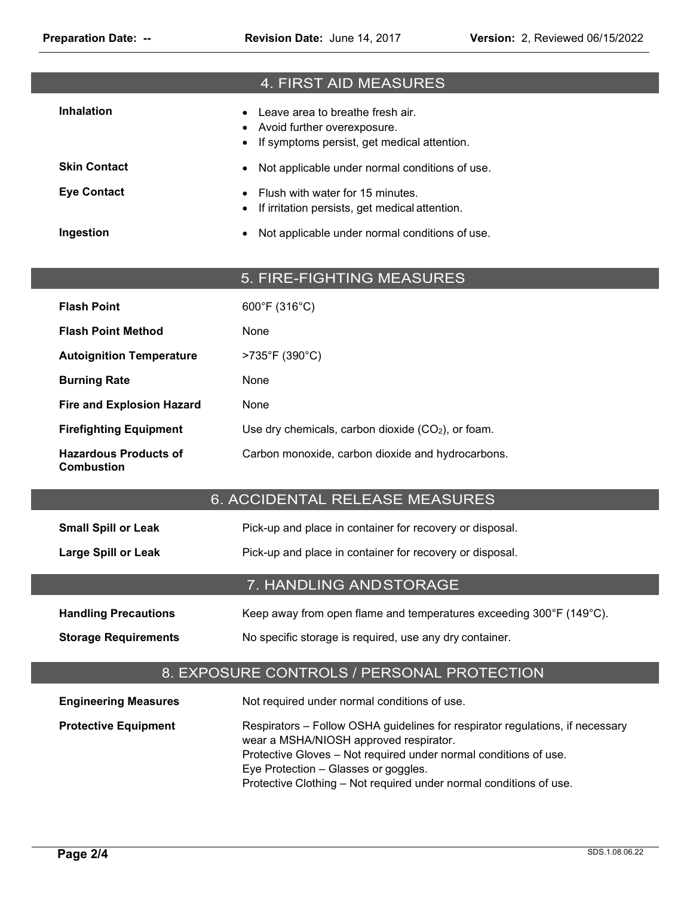|                                                   | <b>4. FIRST AID MEASURES</b>                                                                                                |  |
|---------------------------------------------------|-----------------------------------------------------------------------------------------------------------------------------|--|
| <b>Inhalation</b>                                 | Leave area to breathe fresh air.<br>$\bullet$<br>Avoid further overexposure.<br>If symptoms persist, get medical attention. |  |
| <b>Skin Contact</b>                               | Not applicable under normal conditions of use.                                                                              |  |
| <b>Eye Contact</b>                                | Flush with water for 15 minutes.<br>If irritation persists, get medical attention.                                          |  |
| Ingestion                                         | Not applicable under normal conditions of use.<br>$\bullet$                                                                 |  |
|                                                   |                                                                                                                             |  |
|                                                   | 5. FIRE-FIGHTING MEASURES                                                                                                   |  |
| <b>Flash Point</b>                                | 600°F (316°C)                                                                                                               |  |
| <b>Flash Point Method</b>                         | None                                                                                                                        |  |
| <b>Autoignition Temperature</b>                   | >735°F (390°C)                                                                                                              |  |
| <b>Burning Rate</b>                               | None                                                                                                                        |  |
| <b>Fire and Explosion Hazard</b>                  | None                                                                                                                        |  |
| <b>Firefighting Equipment</b>                     | Use dry chemicals, carbon dioxide $(CO2)$ , or foam.                                                                        |  |
| <b>Hazardous Products of</b><br><b>Combustion</b> | Carbon monoxide, carbon dioxide and hydrocarbons.                                                                           |  |
|                                                   | 6. ACCIDENTAL RELEASE MEASURES                                                                                              |  |

| <b>Small Spill or Leak</b> | Pick-up and place in container for recovery or disposal. |
|----------------------------|----------------------------------------------------------|
| <b>Large Spill or Leak</b> | Pick-up and place in container for recovery or disposal. |

# 7. HANDLING ANDSTORAGE

| <b>Handling Precautions</b> |  | Keep away from open flame and temperatures exceeding 300°F (149°C). |
|-----------------------------|--|---------------------------------------------------------------------|
|-----------------------------|--|---------------------------------------------------------------------|

**Storage Requirements** No specific storage is required, use any dry container.

# 8. EXPOSURE CONTROLS / PERSONAL PROTECTION

| Not required under normal conditions of use.                                                                                                                                                                                                                                                              |
|-----------------------------------------------------------------------------------------------------------------------------------------------------------------------------------------------------------------------------------------------------------------------------------------------------------|
| Respirators – Follow OSHA guidelines for respirator regulations, if necessary<br>wear a MSHA/NIOSH approved respirator.<br>Protective Gloves – Not required under normal conditions of use.<br>Eye Protection – Glasses or goggles.<br>Protective Clothing – Not required under normal conditions of use. |
|                                                                                                                                                                                                                                                                                                           |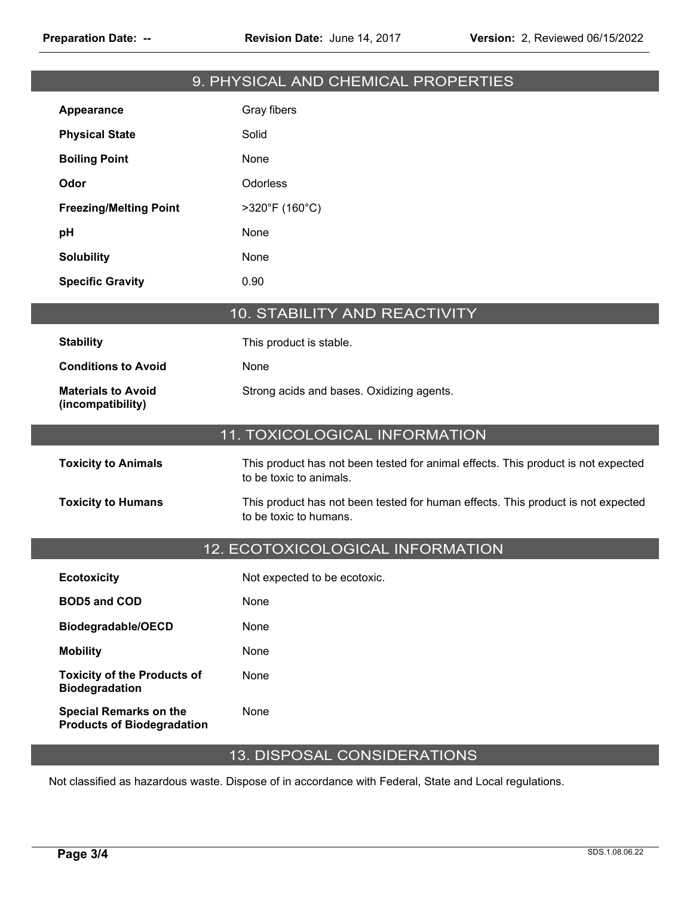|                                                                    | 9. PHYSICAL AND CHEMICAL PROPERTIES                                                                          |
|--------------------------------------------------------------------|--------------------------------------------------------------------------------------------------------------|
| Appearance                                                         | Gray fibers                                                                                                  |
| <b>Physical State</b>                                              | Solid                                                                                                        |
| <b>Boiling Point</b>                                               | None                                                                                                         |
| Odor                                                               | Odorless                                                                                                     |
| <b>Freezing/Melting Point</b>                                      | $>320^{\circ}$ F (160 $^{\circ}$ C)                                                                          |
| pH                                                                 | None                                                                                                         |
| <b>Solubility</b>                                                  | None                                                                                                         |
| <b>Specific Gravity</b>                                            | 0.90                                                                                                         |
|                                                                    | <b>10. STABILITY AND REACTIVITY</b>                                                                          |
| <b>Stability</b>                                                   | This product is stable.                                                                                      |
| <b>Conditions to Avoid</b>                                         | None                                                                                                         |
| <b>Materials to Avoid</b><br>(incompatibility)                     | Strong acids and bases. Oxidizing agents.                                                                    |
|                                                                    | 11. TOXICOLOGICAL INFORMATION                                                                                |
| <b>Toxicity to Animals</b>                                         | This product has not been tested for animal effects. This product is not expected<br>to be toxic to animals. |
| <b>Toxicity to Humans</b>                                          | This product has not been tested for human effects. This product is not expected<br>to be toxic to humans.   |
|                                                                    | 12. ECOTOXICOLOGICAL INFORMATION                                                                             |
| <b>Ecotoxicity</b>                                                 | Not expected to be ecotoxic.                                                                                 |
| <b>BOD5 and COD</b>                                                | None                                                                                                         |
| Biodegradable/OECD                                                 | None                                                                                                         |
| <b>Mobility</b>                                                    | None                                                                                                         |
| <b>Toxicity of the Products of</b><br><b>Biodegradation</b>        | None                                                                                                         |
| <b>Special Remarks on the</b><br><b>Products of Biodegradation</b> | None                                                                                                         |

## 13. DISPOSAL CONSIDERATIONS

Not classified as hazardous waste. Dispose of in accordance with Federal, State and Local regulations.